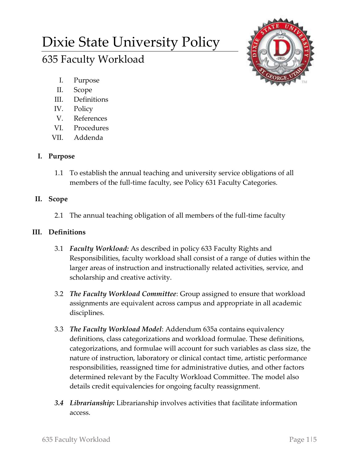# Dixie State University Policy 635 Faculty Workload



- I. Purpose
- II. Scope
- III. Definitions
- IV. Policy
- V. References
- VI. Procedures
- VII. Addenda

# **I. Purpose**

1.1 To establish the annual teaching and university service obligations of all members of the full-time faculty, see Policy 631 Faculty Categories.

# **II. Scope**

2.1 The annual teaching obligation of all members of the full-time faculty

## **III. Definitions**

- 3.1 *Faculty Workload:* As described in policy 633 Faculty Rights and Responsibilities, faculty workload shall consist of a range of duties within the larger areas of instruction and instructionally related activities, service, and scholarship and creative activity.
- 3.2 *The Faculty Workload Committee*: Group assigned to ensure that workload assignments are equivalent across campus and appropriate in all academic disciplines.
- 3.3 *The Faculty Workload Model*: Addendum 635a contains equivalency definitions, class categorizations and workload formulae. These definitions, categorizations, and formulae will account for such variables as class size, the nature of instruction, laboratory or clinical contact time, artistic performance responsibilities, reassigned time for administrative duties, and other factors determined relevant by the Faculty Workload Committee. The model also details credit equivalencies for ongoing faculty reassignment.
- *3.4 Librarianship:* Librarianship involves activities that facilitate information access.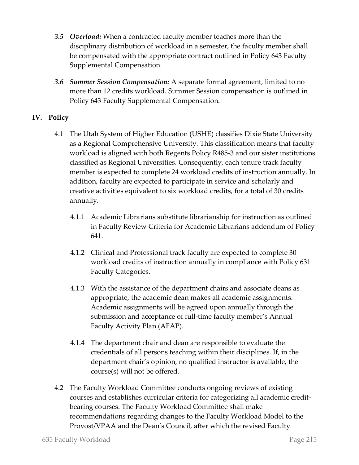- *3.5 Overload:* When a contracted faculty member teaches more than the disciplinary distribution of workload in a semester, the faculty member shall be compensated with the appropriate contract outlined in Policy 643 Faculty Supplemental Compensation.
- *3.6 Summer Session Compensation:* A separate formal agreement, limited to no more than 12 credits workload. Summer Session compensation is outlined in Policy 643 Faculty Supplemental Compensation.

## **IV. Policy**

- 4.1 The Utah System of Higher Education (USHE) classifies Dixie State University as a Regional Comprehensive University. This classification means that faculty workload is aligned with both Regents Policy R485-3 and our sister institutions classified as Regional Universities. Consequently, each tenure track faculty member is expected to complete 24 workload credits of instruction annually. In addition, faculty are expected to participate in service and scholarly and creative activities equivalent to six workload credits, for a total of 30 credits annually.
	- 4.1.1 Academic Librarians substitute librarianship for instruction as outlined in Faculty Review Criteria for Academic Librarians addendum of Policy 641.
	- 4.1.2 Clinical and Professional track faculty are expected to complete 30 workload credits of instruction annually in compliance with Policy 631 Faculty Categories.
	- 4.1.3 With the assistance of the department chairs and associate deans as appropriate, the academic dean makes all academic assignments. Academic assignments will be agreed upon annually through the submission and acceptance of full-time faculty member's Annual Faculty Activity Plan (AFAP).
	- 4.1.4 The department chair and dean are responsible to evaluate the credentials of all persons teaching within their disciplines. If, in the department chair's opinion, no qualified instructor is available, the course(s) will not be offered.
- 4.2 The Faculty Workload Committee conducts ongoing reviews of existing courses and establishes curricular criteria for categorizing all academic creditbearing courses. The Faculty Workload Committee shall make recommendations regarding changes to the Faculty Workload Model to the Provost/VPAA and the Dean's Council, after which the revised Faculty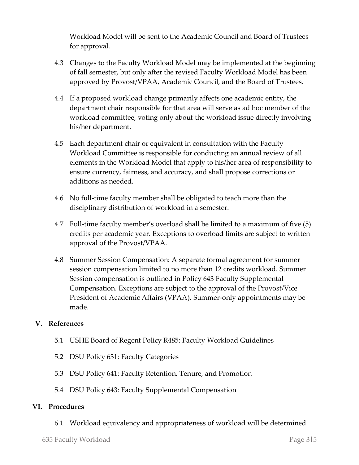Workload Model will be sent to the Academic Council and Board of Trustees for approval.

- 4.3 Changes to the Faculty Workload Model may be implemented at the beginning of fall semester, but only after the revised Faculty Workload Model has been approved by Provost/VPAA, Academic Council, and the Board of Trustees.
- 4.4 If a proposed workload change primarily affects one academic entity, the department chair responsible for that area will serve as ad hoc member of the workload committee, voting only about the workload issue directly involving his/her department.
- 4.5 Each department chair or equivalent in consultation with the Faculty Workload Committee is responsible for conducting an annual review of all elements in the Workload Model that apply to his/her area of responsibility to ensure currency, fairness, and accuracy, and shall propose corrections or additions as needed.
- 4.6 No full-time faculty member shall be obligated to teach more than the disciplinary distribution of workload in a semester.
- 4.7 Full-time faculty member's overload shall be limited to a maximum of five (5) credits per academic year. Exceptions to overload limits are subject to written approval of the Provost/VPAA.
- 4.8 Summer Session Compensation: A separate formal agreement for summer session compensation limited to no more than 12 credits workload. Summer Session compensation is outlined in Policy 643 Faculty Supplemental Compensation. Exceptions are subject to the approval of the Provost/Vice President of Academic Affairs (VPAA). Summer-only appointments may be made.

## **V. References**

- 5.1 USHE Board of Regent Policy R485: Faculty Workload Guidelines
- 5.2 DSU Policy 631: Faculty Categories
- 5.3 DSU Policy 641: Faculty Retention, Tenure, and Promotion
- 5.4 DSU Policy 643: Faculty Supplemental Compensation

## **VI. Procedures**

6.1 Workload equivalency and appropriateness of workload will be determined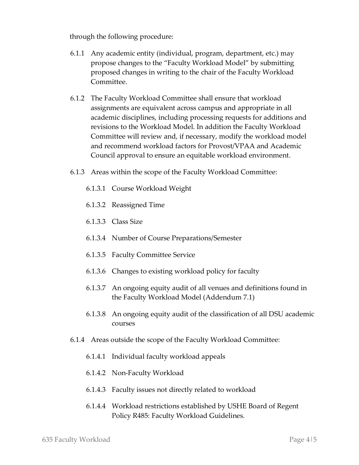through the following procedure:

- 6.1.1 Any academic entity (individual, program, department, etc.) may propose changes to the "Faculty Workload Model" by submitting proposed changes in writing to the chair of the Faculty Workload Committee.
- 6.1.2 The Faculty Workload Committee shall ensure that workload assignments are equivalent across campus and appropriate in all academic disciplines, including processing requests for additions and revisions to the Workload Model. In addition the Faculty Workload Committee will review and, if necessary, modify the workload model and recommend workload factors for Provost/VPAA and Academic Council approval to ensure an equitable workload environment.
- 6.1.3 Areas within the scope of the Faculty Workload Committee:
	- 6.1.3.1 Course Workload Weight
	- 6.1.3.2 Reassigned Time
	- 6.1.3.3 Class Size
	- 6.1.3.4 Number of Course Preparations/Semester
	- 6.1.3.5 Faculty Committee Service
	- 6.1.3.6 Changes to existing workload policy for faculty
	- 6.1.3.7 An ongoing equity audit of all venues and definitions found in the Faculty Workload Model (Addendum 7.1)
	- 6.1.3.8 An ongoing equity audit of the classification of all DSU academic courses
- 6.1.4 Areas outside the scope of the Faculty Workload Committee:
	- 6.1.4.1 Individual faculty workload appeals
	- 6.1.4.2 Non-Faculty Workload
	- 6.1.4.3 Faculty issues not directly related to workload
	- 6.1.4.4 Workload restrictions established by USHE Board of Regent Policy R485: Faculty Workload Guidelines.